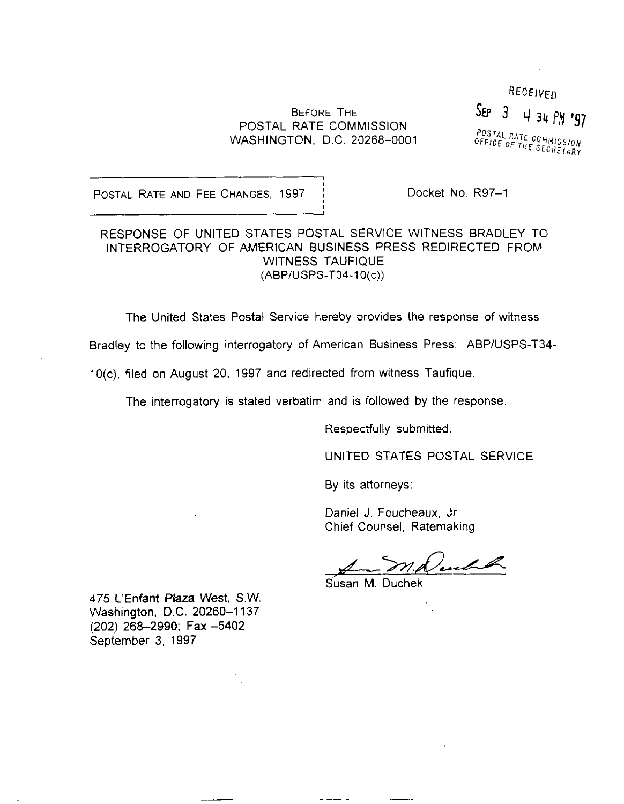# BEFORE THE BEFORE THE  $SEP = 3 + 34$  for  $134$  fm '97 WASHINGTON, D.C. 20268-0001

RECEIVED POSTAL RATE COMMISSION<br>OFFICE OF THE SECRETARY

POSTAL RATE AND FEE CHANGES, 1997 | Docket No. R97-1

RESPONSE OF UNITED STATES POSTAL SERVICE WITNESS BRADLEY TO INTERROGATORY OF AMERICAN BUSINESS PRESS REDIRECTED FROM WITNESS TAUFIQUE (ABPIUSPS-T34-1 O(c))

The United States Postal Service hereby provides the response of witness

Bradley to the following interrogatory of American Business Press: ABPIUSPS-T34-

IO(c), filed on August 20, 1997 and redirected from witness Taufique

The interrogatory is stated verbatim and is followed by the response.

Respectfully submitted,

UNITED STATES POSTAL SERVICE

By its attorneys:

Daniel J. Foucheaux, Jr. Chief Counsel, Ratemaking

Lead the  $\mathcal{S}$ 

Susan M. Duchek

475 L'Enfant Plaza West, S.W. Washington, D.C. 20260-1137 (202) 268-2990; Fax -5402 September 3, 1997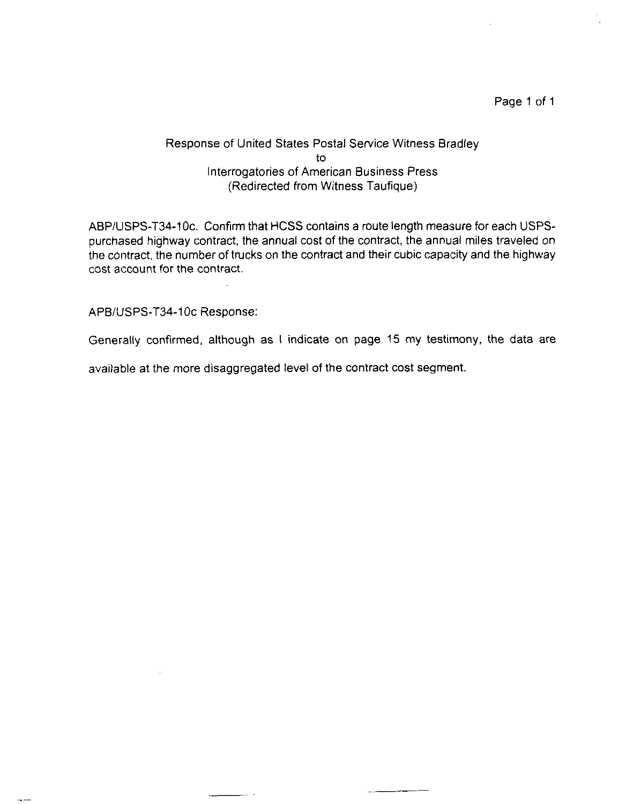#### Page 1 of 1

## Response of United States Postal Service Witness Bradley to Interrogatories of American Business Press (Redirected from Witness Taufique)

ABP/USPS-T34-10c. Confirm that HCSS contains a route length measure for each USPSpurchased highway contract, the annual cost of the contract, the annual miles traveled on the contract, the number of trucks on the contract and their cubic capacity and the highway cost account for the contract.

## APB/USPS-T34-10c Response:

Generally confirmed, although as I indicate on page 15 my testimony, the data are

available at the more disaggregated level of the contract cost segment.

......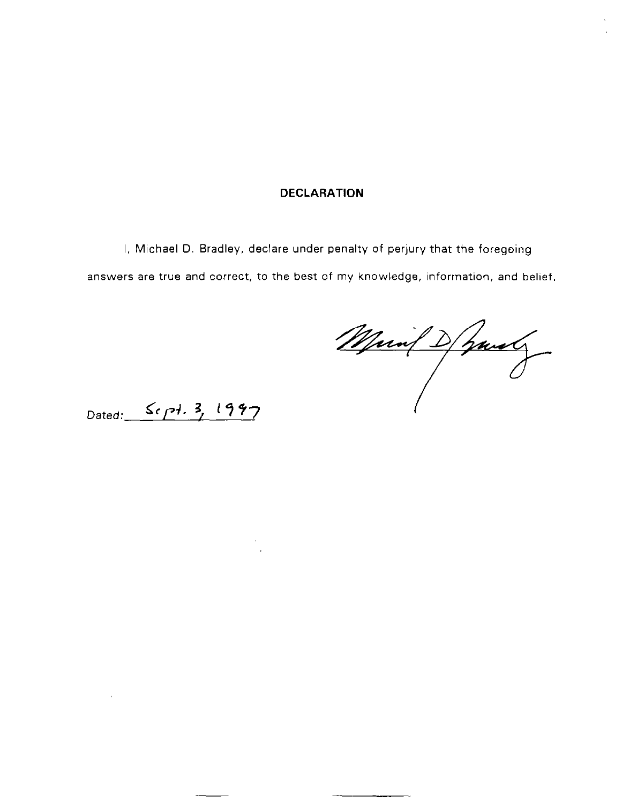#### DECLARATION

I, Michael D. Bradley, declare under penalty of perjury that the foregoing answers are true and correct, to the best of my knowledge, information, and belief.

Main D hand

Dated: Sept. 3, 1997

 $\sim 0.1$